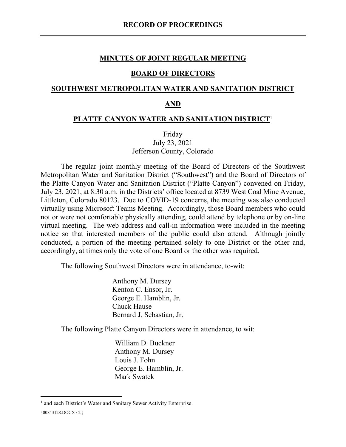#### **MINUTES OF JOINT REGULAR MEETING**

#### **BOARD OF DIRECTORS**

### **SOUTHWEST METROPOLITAN WATER AND SANITATION DISTRICT**

### **AND**

#### **PLATTE CANYON WATER AND SANITATION DISTRICT**<sup>1</sup>

Friday July 23, 2021 Jefferson County, Colorado

The regular joint monthly meeting of the Board of Directors of the Southwest Metropolitan Water and Sanitation District ("Southwest") and the Board of Directors of the Platte Canyon Water and Sanitation District ("Platte Canyon") convened on Friday, July 23, 2021, at 8:30 a.m. in the Districts' office located at 8739 West Coal Mine Avenue, Littleton, Colorado 80123. Due to COVID-19 concerns, the meeting was also conducted virtually using Microsoft Teams Meeting. Accordingly, those Board members who could not or were not comfortable physically attending, could attend by telephone or by on-line virtual meeting. The web address and call-in information were included in the meeting notice so that interested members of the public could also attend. Although jointly conducted, a portion of the meeting pertained solely to one District or the other and, accordingly, at times only the vote of one Board or the other was required.

The following Southwest Directors were in attendance, to-wit:

Anthony M. Dursey Kenton C. Ensor, Jr. George E. Hamblin, Jr. Chuck Hause Bernard J. Sebastian, Jr.

The following Platte Canyon Directors were in attendance, to wit:

William D. Buckner Anthony M. Dursey Louis J. Fohn George E. Hamblin, Jr. Mark Swatek

<sup>&</sup>lt;sup>1</sup> and each District's Water and Sanitary Sewer Activity Enterprise.

<sup>{00843128.</sup>DOCX / 2 }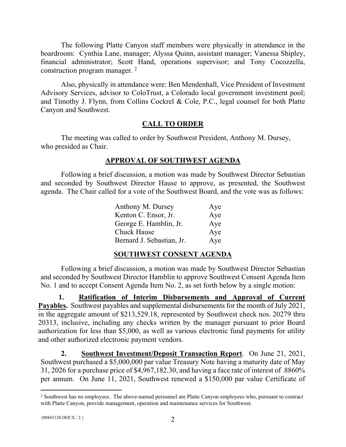The following Platte Canyon staff members were physically in attendance in the boardroom: Cynthia Lane, manager; Alyssa Quinn, assistant manager; Vanessa Shipley, financial administrator; Scott Hand, operations supervisor; and Tony Cocozzella, construction program manager.  $2$ 

Also, physically in attendance were: Ben Mendenhall, Vice President of Investment Advisory Services, advisor to ColoTrust, a Colorado local government investment pool; and Timothy J. Flynn, from Collins Cockrel & Cole, P.C., legal counsel for both Platte Canyon and Southwest.

# **CALL TO ORDER**

The meeting was called to order by Southwest President, Anthony M. Dursey, who presided as Chair.

# **APPROVAL OF SOUTHWEST AGENDA**

Following a brief discussion, a motion was made by Southwest Director Sebastian and seconded by Southwest Director Hause to approve, as presented, the Southwest agenda. The Chair called for a vote of the Southwest Board, and the vote was as follows:

| Anthony M. Dursey         | Aye |
|---------------------------|-----|
| Kenton C. Ensor, Jr.      | Aye |
| George E. Hamblin, Jr.    | Aye |
| <b>Chuck Hause</b>        | Aye |
| Bernard J. Sebastian, Jr. | Aye |

# **SOUTHWEST CONSENT AGENDA**

Following a brief discussion, a motion was made by Southwest Director Sebastian and seconded by Southwest Director Hamblin to approve Southwest Consent Agenda Item No. 1 and to accept Consent Agenda Item No. 2, as set forth below by a single motion:

**1. Ratification of Interim Disbursements and Approval of Current Payables.** Southwest payables and supplemental disbursements for the month of July 2021, in the aggregate amount of \$213,529.18, represented by Southwest check nos. 20279 thru 20313, inclusive, including any checks written by the manager pursuant to prior Board authorization for less than \$5,000, as well as various electronic fund payments for utility and other authorized electronic payment vendors.

**2. Southwest Investment/Deposit Transaction Report**. On June 21, 2021, Southwest purchased a \$5,000,000 par value Treasury Note having a maturity date of May 31, 2026 for a purchase price of \$4,967,182.30, and having a face rate of interest of .8860% per annum. On June 11, 2021, Southwest renewed a \$150,000 par value Certificate of

<sup>&</sup>lt;sup>2</sup> Southwest has no employees. The above-named personnel are Platte Canyon employees who, pursuant to contract with Platte Canyon, provide management, operation and maintenance services for Southwest.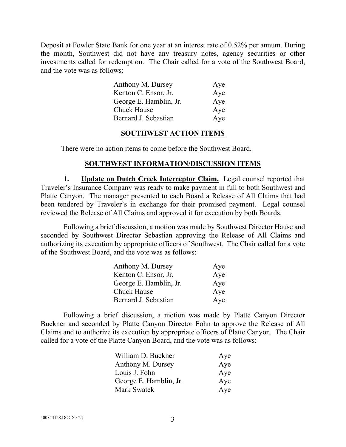Deposit at Fowler State Bank for one year at an interest rate of 0.52% per annum. During the month, Southwest did not have any treasury notes, agency securities or other investments called for redemption. The Chair called for a vote of the Southwest Board, and the vote was as follows:

| Anthony M. Dursey      | Aye |
|------------------------|-----|
| Kenton C. Ensor, Jr.   | Aye |
| George E. Hamblin, Jr. | Aye |
| Chuck Hause            | Aye |
| Bernard J. Sebastian   | Aye |

#### **SOUTHWEST ACTION ITEMS**

There were no action items to come before the Southwest Board.

### **SOUTHWEST INFORMATION/DISCUSSION ITEMS**

**1.** Update on Dutch Creek Interceptor Claim. Legal counsel reported that Traveler's Insurance Company was ready to make payment in full to both Southwest and Platte Canyon. The manager presented to each Board a Release of All Claims that had been tendered by Traveler's in exchange for their promised payment. Legal counsel reviewed the Release of All Claims and approved it for execution by both Boards.

Following a brief discussion, a motion was made by Southwest Director Hause and seconded by Southwest Director Sebastian approving the Release of All Claims and authorizing its execution by appropriate officers of Southwest. The Chair called for a vote of the Southwest Board, and the vote was as follows:

| Anthony M. Dursey      | Aye |
|------------------------|-----|
| Kenton C. Ensor, Jr.   | Aye |
| George E. Hamblin, Jr. | Aye |
| <b>Chuck Hause</b>     | Aye |
| Bernard J. Sebastian   | Aye |

Following a brief discussion, a motion was made by Platte Canyon Director Buckner and seconded by Platte Canyon Director Fohn to approve the Release of All Claims and to authorize its execution by appropriate officers of Platte Canyon. The Chair called for a vote of the Platte Canyon Board, and the vote was as follows:

| William D. Buckner     | Aye |
|------------------------|-----|
| Anthony M. Dursey      | Aye |
| Louis J. Fohn          | Aye |
| George E. Hamblin, Jr. | Aye |
| Mark Swatek            | Aye |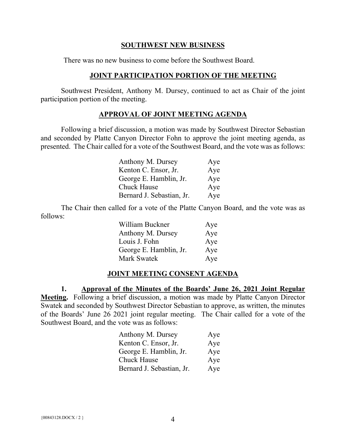### **SOUTHWEST NEW BUSINESS**

There was no new business to come before the Southwest Board.

# **JOINT PARTICIPATION PORTION OF THE MEETING**

Southwest President, Anthony M. Dursey, continued to act as Chair of the joint participation portion of the meeting.

# **APPROVAL OF JOINT MEETING AGENDA**

Following a brief discussion, a motion was made by Southwest Director Sebastian and seconded by Platte Canyon Director Fohn to approve the joint meeting agenda, as presented. The Chair called for a vote of the Southwest Board, and the vote was as follows:

| Anthony M. Dursey         | Aye |
|---------------------------|-----|
| Kenton C. Ensor, Jr.      | Aye |
| George E. Hamblin, Jr.    | Aye |
| <b>Chuck Hause</b>        | Aye |
| Bernard J. Sebastian, Jr. | Aye |

The Chair then called for a vote of the Platte Canyon Board, and the vote was as follows:

| William Buckner        | Aye |
|------------------------|-----|
| Anthony M. Dursey      | Aye |
| Louis J. Fohn          | Aye |
| George E. Hamblin, Jr. | Aye |
| <b>Mark Swatek</b>     | Aye |

# **JOINT MEETING CONSENT AGENDA**

**1. Approval of the Minutes of the Boards' June 26, 2021 Joint Regular Meeting.** Following a brief discussion, a motion was made by Platte Canyon Director Swatek and seconded by Southwest Director Sebastian to approve, as written, the minutes of the Boards' June 26 2021 joint regular meeting. The Chair called for a vote of the Southwest Board, and the vote was as follows:

| Anthony M. Dursey         | Aye |
|---------------------------|-----|
| Kenton C. Ensor, Jr.      | Aye |
| George E. Hamblin, Jr.    | Aye |
| <b>Chuck Hause</b>        | Aye |
| Bernard J. Sebastian, Jr. | Aye |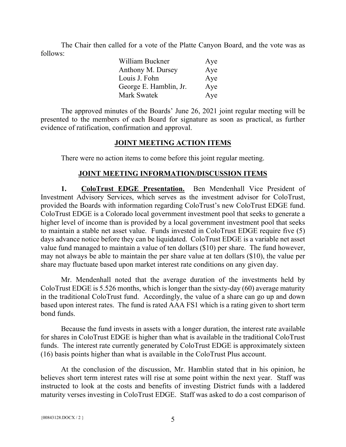The Chair then called for a vote of the Platte Canyon Board, and the vote was as follows:

| William Buckner        | Aye |
|------------------------|-----|
| Anthony M. Dursey      | Aye |
| Louis J. Fohn          | Aye |
| George E. Hamblin, Jr. | Aye |
| Mark Swatek            | Aye |

The approved minutes of the Boards' June 26, 2021 joint regular meeting will be presented to the members of each Board for signature as soon as practical, as further evidence of ratification, confirmation and approval.

## **JOINT MEETING ACTION ITEMS**

There were no action items to come before this joint regular meeting.

# **JOINT MEETING INFORMATION/DISCUSSION ITEMS**

**1. ColoTrust EDGE Presentation.** Ben Mendenhall Vice President of Investment Advisory Services, which serves as the investment advisor for ColoTrust, provided the Boards with information regarding ColoTrust's new ColoTrust EDGE fund. ColoTrust EDGE is a Colorado local government investment pool that seeks to generate a higher level of income than is provided by a local government investment pool that seeks to maintain a stable net asset value. Funds invested in ColoTrust EDGE require five (5) days advance notice before they can be liquidated. ColoTrust EDGE is a variable net asset value fund managed to maintain a value of ten dollars (\$10) per share. The fund however, may not always be able to maintain the per share value at ten dollars (\$10), the value per share may fluctuate based upon market interest rate conditions on any given day.

Mr. Mendenhall noted that the average duration of the investments held by ColoTrust EDGE is 5.526 months, which is longer than the sixty-day (60) average maturity in the traditional ColoTrust fund. Accordingly, the value of a share can go up and down based upon interest rates. The fund is rated AAA FS1 which is a rating given to short term bond funds.

Because the fund invests in assets with a longer duration, the interest rate available for shares in ColoTrust EDGE is higher than what is available in the traditional ColoTrust funds. The interest rate currently generated by ColoTrust EDGE is approximately sixteen (16) basis points higher than what is available in the ColoTrust Plus account.

At the conclusion of the discussion, Mr. Hamblin stated that in his opinion, he believes short term interest rates will rise at some point within the next year. Staff was instructed to look at the costs and benefits of investing District funds with a laddered maturity verses investing in ColoTrust EDGE. Staff was asked to do a cost comparison of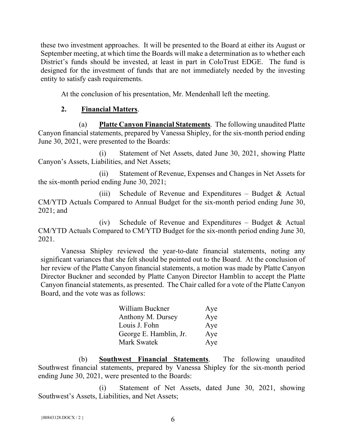these two investment approaches. It will be presented to the Board at either its August or September meeting, at which time the Boards will make a determination as to whether each District's funds should be invested, at least in part in ColoTrust EDGE. The fund is designed for the investment of funds that are not immediately needed by the investing entity to satisfy cash requirements.

At the conclusion of his presentation, Mr. Mendenhall left the meeting.

# **2. Financial Matters**.

(a) **Platte Canyon Financial Statements**. The following unaudited Platte Canyon financial statements, prepared by Vanessa Shipley, for the six-month period ending June 30, 2021, were presented to the Boards:

(i) Statement of Net Assets, dated June 30, 2021, showing Platte Canyon's Assets, Liabilities, and Net Assets;

(ii) Statement of Revenue, Expenses and Changes in Net Assets for the six-month period ending June 30, 2021;

(iii) Schedule of Revenue and Expenditures – Budget  $&$  Actual CM/YTD Actuals Compared to Annual Budget for the six-month period ending June 30, 2021; and

(iv) Schedule of Revenue and Expenditures – Budget & Actual CM/YTD Actuals Compared to CM/YTD Budget for the six-month period ending June 30, 2021.

Vanessa Shipley reviewed the year-to-date financial statements, noting any significant variances that she felt should be pointed out to the Board. At the conclusion of her review of the Platte Canyon financial statements, a motion was made by Platte Canyon Director Buckner and seconded by Platte Canyon Director Hamblin to accept the Platte Canyon financial statements, as presented. The Chair called for a vote of the Platte Canyon Board, and the vote was as follows:

| William Buckner        | Aye |
|------------------------|-----|
| Anthony M. Dursey      | Aye |
| Louis J. Fohn          | Aye |
| George E. Hamblin, Jr. | Aye |
| Mark Swatek            | Aye |

(b) **Southwest Financial Statements**. The following unaudited Southwest financial statements, prepared by Vanessa Shipley for the six-month period ending June 30, 2021, were presented to the Boards:

(i) Statement of Net Assets, dated June 30, 2021, showing Southwest's Assets, Liabilities, and Net Assets;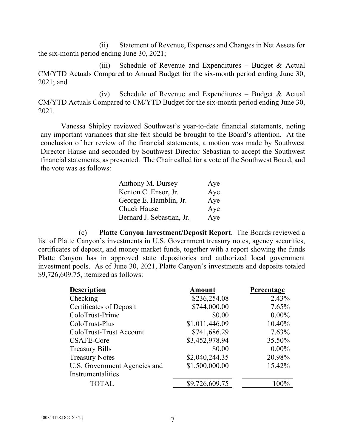(ii) Statement of Revenue, Expenses and Changes in Net Assets for the six-month period ending June 30, 2021;

(iii) Schedule of Revenue and Expenditures – Budget  $&$  Actual CM/YTD Actuals Compared to Annual Budget for the six-month period ending June 30, 2021; and

(iv) Schedule of Revenue and Expenditures – Budget  $&$  Actual CM/YTD Actuals Compared to CM/YTD Budget for the six-month period ending June 30, 2021.

Vanessa Shipley reviewed Southwest's year-to-date financial statements, noting any important variances that she felt should be brought to the Board's attention. At the conclusion of her review of the financial statements, a motion was made by Southwest Director Hause and seconded by Southwest Director Sebastian to accept the Southwest financial statements, as presented. The Chair called for a vote of the Southwest Board, and the vote was as follows:

| Anthony M. Dursey         | Aye |
|---------------------------|-----|
| Kenton C. Ensor, Jr.      | Aye |
| George E. Hamblin, Jr.    | Aye |
| <b>Chuck Hause</b>        | Aye |
| Bernard J. Sebastian, Jr. | Aye |

(c) **Platte Canyon Investment/Deposit Report**. The Boards reviewed a list of Platte Canyon's investments in U.S. Government treasury notes, agency securities, certificates of deposit, and money market funds, together with a report showing the funds Platte Canyon has in approved state depositories and authorized local government investment pools. As of June 30, 2021, Platte Canyon's investments and deposits totaled \$9,726,609.75, itemized as follows:

| <b>Description</b>           | <b>Amount</b>  | Percentage |
|------------------------------|----------------|------------|
| Checking                     | \$236,254.08   | 2.43%      |
| Certificates of Deposit      | \$744,000.00   | 7.65%      |
| ColoTrust-Prime              | \$0.00         | $0.00\%$   |
| ColoTrust-Plus               | \$1,011,446.09 | 10.40%     |
| ColoTrust-Trust Account      | \$741,686.29   | 7.63%      |
| <b>CSAFE-Core</b>            | \$3,452,978.94 | 35.50%     |
| <b>Treasury Bills</b>        | \$0.00         | $0.00\%$   |
| <b>Treasury Notes</b>        | \$2,040,244.35 | 20.98%     |
| U.S. Government Agencies and | \$1,500,000.00 | 15.42%     |
| Instrumentalities            |                |            |
| <b>TOTAL</b>                 | \$9,726,609.75 | $100\%$    |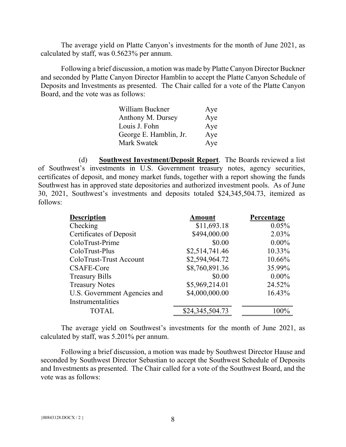The average yield on Platte Canyon's investments for the month of June 2021, as calculated by staff, was 0.5623% per annum.

Following a brief discussion, a motion was made by Platte Canyon Director Buckner and seconded by Platte Canyon Director Hamblin to accept the Platte Canyon Schedule of Deposits and Investments as presented. The Chair called for a vote of the Platte Canyon Board, and the vote was as follows:

| William Buckner        | Aye |
|------------------------|-----|
| Anthony M. Dursey      | Aye |
| Louis J. Fohn          | Aye |
| George E. Hamblin, Jr. | Aye |
| Mark Swatek            | Aye |

(d) **Southwest Investment/Deposit Report**. The Boards reviewed a list of Southwest's investments in U.S. Government treasury notes, agency securities, certificates of deposit, and money market funds, together with a report showing the funds Southwest has in approved state depositories and authorized investment pools. As of June 30, 2021, Southwest's investments and deposits totaled \$24,345,504.73, itemized as follows:

| <b>Description</b>           | <b>Amount</b>   | Percentage |
|------------------------------|-----------------|------------|
| Checking                     | \$11,693.18     | 0.05%      |
| Certificates of Deposit      | \$494,000.00    | 2.03%      |
| ColoTrust-Prime              | \$0.00          | $0.00\%$   |
| ColoTrust-Plus               | \$2,514,741.46  | 10.33%     |
| ColoTrust-Trust Account      | \$2,594,964.72  | 10.66%     |
| <b>CSAFE-Core</b>            | \$8,760,891.36  | 35.99%     |
| <b>Treasury Bills</b>        | \$0.00          | $0.00\%$   |
| <b>Treasury Notes</b>        | \$5,969,214.01  | 24.52%     |
| U.S. Government Agencies and | \$4,000,000.00  | 16.43%     |
| Instrumentalities            |                 |            |
| <b>TOTAL</b>                 | \$24,345,504.73 | $100\%$    |

The average yield on Southwest's investments for the month of June 2021, as calculated by staff, was 5.201% per annum.

Following a brief discussion, a motion was made by Southwest Director Hause and seconded by Southwest Director Sebastian to accept the Southwest Schedule of Deposits and Investments as presented. The Chair called for a vote of the Southwest Board, and the vote was as follows: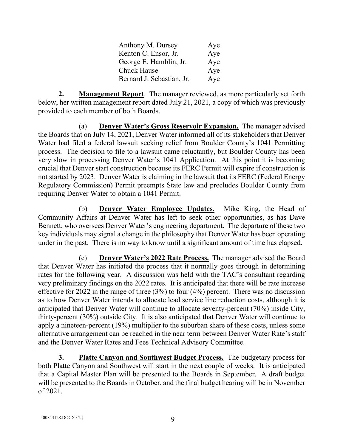| Anthony M. Dursey         | Aye |
|---------------------------|-----|
| Kenton C. Ensor, Jr.      | Aye |
| George E. Hamblin, Jr.    | Aye |
| <b>Chuck Hause</b>        | Aye |
| Bernard J. Sebastian, Jr. | Aye |

**2. Management Report**. The manager reviewed, as more particularly set forth below, her written management report dated July 21, 2021, a copy of which was previously provided to each member of both Boards.

(a) **Denver Water's Gross Reservoir Expansion.** The manager advised the Boards that on July 14, 2021, Denver Water informed all of its stakeholders that Denver Water had filed a federal lawsuit seeking relief from Boulder County's 1041 Permitting process. The decision to file to a lawsuit came reluctantly, but Boulder County has been very slow in processing Denver Water's 1041 Application. At this point it is becoming crucial that Denver start construction because its FERC Permit will expire if construction is not started by 2023. Denver Water is claiming in the lawsuit that its FERC (Federal Energy Regulatory Commission) Permit preempts State law and precludes Boulder County from requiring Denver Water to obtain a 1041 Permit.

(b) **Denver Water Employee Updates.** Mike King, the Head of Community Affairs at Denver Water has left to seek other opportunities, as has Dave Bennett, who oversees Denver Water's engineering department. The departure of these two key individuals may signal a change in the philosophy that Denver Water has been operating under in the past. There is no way to know until a significant amount of time has elapsed.

(c) **Denver Water's 2022 Rate Process.** The manager advised the Board that Denver Water has initiated the process that it normally goes through in determining rates for the following year. A discussion was held with the TAC's consultant regarding very preliminary findings on the 2022 rates. It is anticipated that there will be rate increase effective for 2022 in the range of three (3%) to four (4%) percent. There was no discussion as to how Denver Water intends to allocate lead service line reduction costs, although it is anticipated that Denver Water will continue to allocate seventy-percent (70%) inside City, thirty-percent (30%) outside City. It is also anticipated that Denver Water will continue to apply a nineteen-percent (19%) multiplier to the suburban share of these costs, unless some alternative arrangement can be reached in the near term between Denver Water Rate's staff and the Denver Water Rates and Fees Technical Advisory Committee.

**3. Platte Canyon and Southwest Budget Process.** The budgetary process for both Platte Canyon and Southwest will start in the next couple of weeks. It is anticipated that a Capital Master Plan will be presented to the Boards in September. A draft budget will be presented to the Boards in October, and the final budget hearing will be in November of 2021.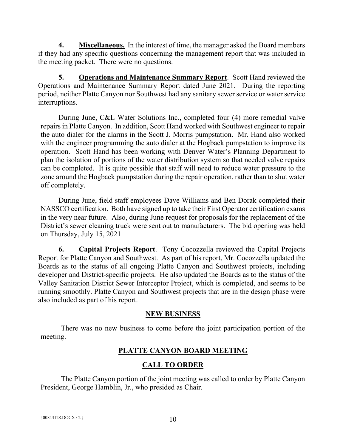**4. Miscellaneous.** In the interest of time, the manager asked the Board members if they had any specific questions concerning the management report that was included in the meeting packet. There were no questions.

**5. Operations and Maintenance Summary Report**. Scott Hand reviewed the Operations and Maintenance Summary Report dated June 2021. During the reporting period, neither Platte Canyon nor Southwest had any sanitary sewer service or water service interruptions.

During June, C&L Water Solutions Inc., completed four (4) more remedial valve repairs in Platte Canyon. In addition, Scott Hand worked with Southwest engineer to repair the auto dialer for the alarms in the Scott J. Morris pumpstation. Mr. Hand also worked with the engineer programming the auto dialer at the Hogback pumpstation to improve its operation. Scott Hand has been working with Denver Water's Planning Department to plan the isolation of portions of the water distribution system so that needed valve repairs can be completed. It is quite possible that staff will need to reduce water pressure to the zone around the Hogback pumpstation during the repair operation, rather than to shut water off completely.

During June, field staff employees Dave Williams and Ben Dorak completed their NASSCO certification. Both have signed up to take their First Operator certification exams in the very near future. Also, during June request for proposals for the replacement of the District's sewer cleaning truck were sent out to manufacturers. The bid opening was held on Thursday, July 15, 2021.

**6. Capital Projects Report**. Tony Cocozzella reviewed the Capital Projects Report for Platte Canyon and Southwest. As part of his report, Mr. Cocozzella updated the Boards as to the status of all ongoing Platte Canyon and Southwest projects, including developer and District-specific projects. He also updated the Boards as to the status of the Valley Sanitation District Sewer Interceptor Project, which is completed, and seems to be running smoothly. Platte Canyon and Southwest projects that are in the design phase were also included as part of his report.

### **NEW BUSINESS**

There was no new business to come before the joint participation portion of the meeting.

# **PLATTE CANYON BOARD MEETING**

# **CALL TO ORDER**

The Platte Canyon portion of the joint meeting was called to order by Platte Canyon President, George Hamblin, Jr., who presided as Chair.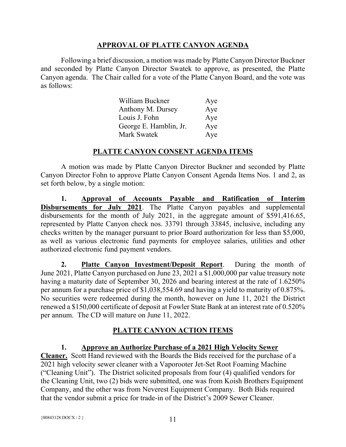# **APPROVAL OF PLATTE CANYON AGENDA**

Following a brief discussion, a motion was made by Platte Canyon Director Buckner and seconded by Platte Canyon Director Swatek to approve, as presented, the Platte Canyon agenda. The Chair called for a vote of the Platte Canyon Board, and the vote was as follows:

| William Buckner        | Aye |
|------------------------|-----|
| Anthony M. Dursey      | Aye |
| Louis J. Fohn          | Aye |
| George E. Hamblin, Jr. | Aye |
| Mark Swatek            | Aye |

# **PLATTE CANYON CONSENT AGENDA ITEMS**

A motion was made by Platte Canyon Director Buckner and seconded by Platte Canyon Director Fohn to approve Platte Canyon Consent Agenda Items Nos. 1 and 2, as set forth below, by a single motion:

**1. Approval of Accounts Payable and Ratification of Interim Disbursements for July 2021**. The Platte Canyon payables and supplemental disbursements for the month of July 2021, in the aggregate amount of \$591,416.65, represented by Platte Canyon check nos. 33791 through 33845, inclusive, including any checks written by the manager pursuant to prior Board authorization for less than \$5,000, as well as various electronic fund payments for employee salaries, utilities and other authorized electronic fund payment vendors.

**2. Platte Canyon Investment/Deposit Report**. During the month of June 2021, Platte Canyon purchased on June 23, 2021 a \$1,000,000 par value treasury note having a maturity date of September 30, 2026 and bearing interest at the rate of 1.6250% per annum for a purchase price of \$1,038,554.69 and having a yield to maturity of 0.875%. No securities were redeemed during the month, however on June 11, 2021 the District renewed a \$150,000 certificate of deposit at Fowler State Bank at an interest rate of 0.520% per annum. The CD will mature on June 11, 2022.

# **PLATTE CANYON ACTION ITEMS**

# **1. Approve an Authorize Purchase of a 2021 High Velocity Sewer**

**Cleaner.** Scott Hand reviewed with the Boards the Bids received for the purchase of a 2021 high velocity sewer cleaner with a Vaporooter Jet-Set Root Foaming Machine ("Cleaning Unit"). The District solicited proposals from four (4) qualified vendors for the Cleaning Unit, two (2) bids were submitted, one was from Koish Brothers Equipment Company, and the other was from Neverest Equipment Company. Both Bids required that the vendor submit a price for trade-in of the District's 2009 Sewer Cleaner.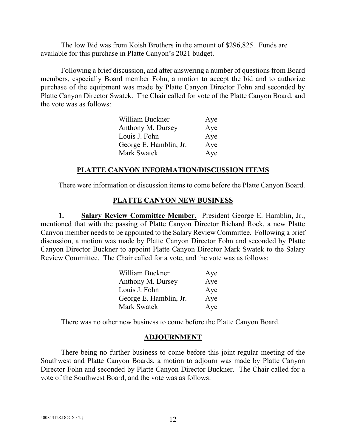The low Bid was from Koish Brothers in the amount of \$296,825. Funds are available for this purchase in Platte Canyon's 2021 budget.

Following a brief discussion, and after answering a number of questions from Board members, especially Board member Fohn, a motion to accept the bid and to authorize purchase of the equipment was made by Platte Canyon Director Fohn and seconded by Platte Canyon Director Swatek. The Chair called for vote of the Platte Canyon Board, and the vote was as follows:

| William Buckner        | Aye |
|------------------------|-----|
| Anthony M. Dursey      | Aye |
| Louis J. Fohn          | Aye |
| George E. Hamblin, Jr. | Aye |
| Mark Swatek            | Aye |

## **PLATTE CANYON INFORMATION/DISCUSSION ITEMS**

There were information or discussion items to come before the Platte Canyon Board.

# **PLATTE CANYON NEW BUSINESS**

**1. Salary Review Committee Member.** President George E. Hamblin, Jr., mentioned that with the passing of Platte Canyon Director Richard Rock, a new Platte Canyon member needs to be appointed to the Salary Review Committee. Following a brief discussion, a motion was made by Platte Canyon Director Fohn and seconded by Platte Canyon Director Buckner to appoint Platte Canyon Director Mark Swatek to the Salary Review Committee. The Chair called for a vote, and the vote was as follows:

| William Buckner        | Aye |
|------------------------|-----|
| Anthony M. Dursey      | Aye |
| Louis J. Fohn          | Aye |
| George E. Hamblin, Jr. | Aye |
| Mark Swatek            | Aye |

There was no other new business to come before the Platte Canyon Board.

# **ADJOURNMENT**

There being no further business to come before this joint regular meeting of the Southwest and Platte Canyon Boards, a motion to adjourn was made by Platte Canyon Director Fohn and seconded by Platte Canyon Director Buckner. The Chair called for a vote of the Southwest Board, and the vote was as follows: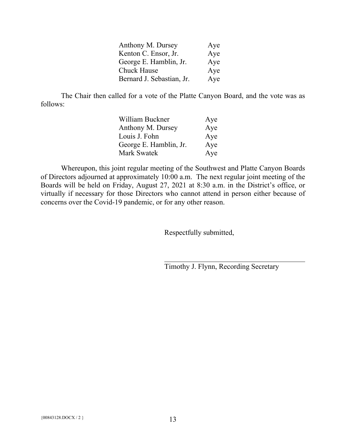| Anthony M. Dursey         | Aye |
|---------------------------|-----|
| Kenton C. Ensor, Jr.      | Aye |
| George E. Hamblin, Jr.    | Aye |
| <b>Chuck Hause</b>        | Aye |
| Bernard J. Sebastian, Jr. | Aye |

The Chair then called for a vote of the Platte Canyon Board, and the vote was as follows:

| William Buckner        | Aye |
|------------------------|-----|
| Anthony M. Dursey      | Aye |
| Louis J. Fohn          | Aye |
| George E. Hamblin, Jr. | Aye |
| Mark Swatek            | Aye |

Whereupon, this joint regular meeting of the Southwest and Platte Canyon Boards of Directors adjourned at approximately 10:00 a.m. The next regular joint meeting of the Boards will be held on Friday, August 27, 2021 at 8:30 a.m. in the District's office, or virtually if necessary for those Directors who cannot attend in person either because of concerns over the Covid-19 pandemic, or for any other reason.

Respectfully submitted,

Timothy J. Flynn, Recording Secretary